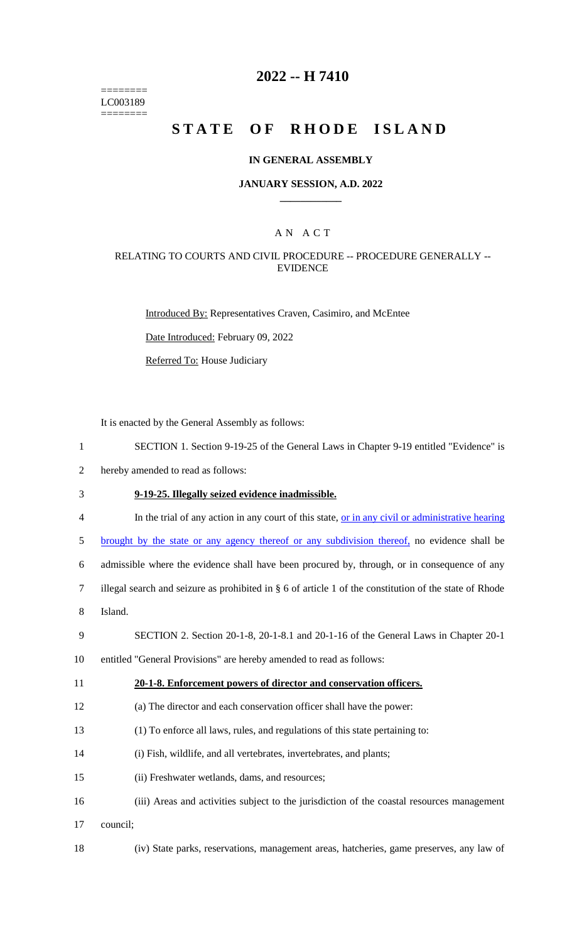======== LC003189 ========

## **2022 -- H 7410**

# **STATE OF RHODE ISLAND**

### **IN GENERAL ASSEMBLY**

#### **JANUARY SESSION, A.D. 2022 \_\_\_\_\_\_\_\_\_\_\_\_**

## A N A C T

### RELATING TO COURTS AND CIVIL PROCEDURE -- PROCEDURE GENERALLY -- EVIDENCE

Introduced By: Representatives Craven, Casimiro, and McEntee

Date Introduced: February 09, 2022

Referred To: House Judiciary

It is enacted by the General Assembly as follows:

- 1 SECTION 1. Section 9-19-25 of the General Laws in Chapter 9-19 entitled "Evidence" is
- 2 hereby amended to read as follows:

### 3 **9-19-25. Illegally seized evidence inadmissible.**

- 4 In the trial of any action in any court of this state, <u>or in any civil or administrative hearing</u>
- 5 brought by the state or any agency thereof or any subdivision thereof, no evidence shall be

6 admissible where the evidence shall have been procured by, through, or in consequence of any

- 7 illegal search and seizure as prohibited in § 6 of article 1 of the constitution of the state of Rhode
- 8 Island.

#### 9 SECTION 2. Section 20-1-8, 20-1-8.1 and 20-1-16 of the General Laws in Chapter 20-1

10 entitled "General Provisions" are hereby amended to read as follows:

#### 11 **20-1-8. Enforcement powers of director and conservation officers.**

- 12 (a) The director and each conservation officer shall have the power:
- 13 (1) To enforce all laws, rules, and regulations of this state pertaining to:
- 14 (i) Fish, wildlife, and all vertebrates, invertebrates, and plants;
- 15 (ii) Freshwater wetlands, dams, and resources;
- 16 (iii) Areas and activities subject to the jurisdiction of the coastal resources management
- 17 council;
- 

18 (iv) State parks, reservations, management areas, hatcheries, game preserves, any law of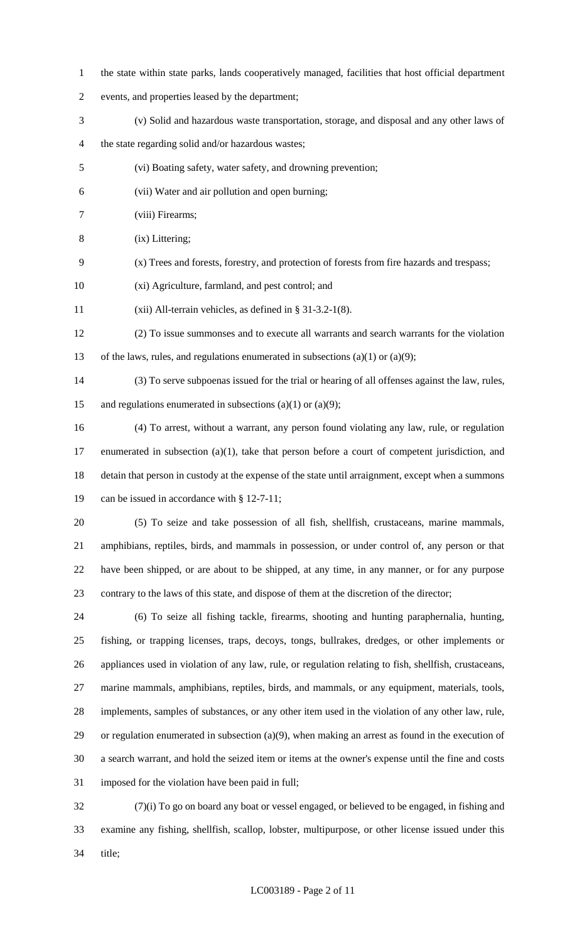- the state within state parks, lands cooperatively managed, facilities that host official department
- events, and properties leased by the department;
- (v) Solid and hazardous waste transportation, storage, and disposal and any other laws of
- the state regarding solid and/or hazardous wastes;
- (vi) Boating safety, water safety, and drowning prevention;
- (vii) Water and air pollution and open burning;
- (viii) Firearms;
- (ix) Littering;
- (x) Trees and forests, forestry, and protection of forests from fire hazards and trespass;
- (xi) Agriculture, farmland, and pest control; and
- (xii) All-terrain vehicles, as defined in § 31-3.2-1(8).
- (2) To issue summonses and to execute all warrants and search warrants for the violation
- of the laws, rules, and regulations enumerated in subsections (a)(1) or (a)(9);
- (3) To serve subpoenas issued for the trial or hearing of all offenses against the law, rules, 15 and regulations enumerated in subsections (a)(1) or (a)(9);
- (4) To arrest, without a warrant, any person found violating any law, rule, or regulation enumerated in subsection (a)(1), take that person before a court of competent jurisdiction, and detain that person in custody at the expense of the state until arraignment, except when a summons can be issued in accordance with § 12-7-11;
- 

 (5) To seize and take possession of all fish, shellfish, crustaceans, marine mammals, amphibians, reptiles, birds, and mammals in possession, or under control of, any person or that have been shipped, or are about to be shipped, at any time, in any manner, or for any purpose contrary to the laws of this state, and dispose of them at the discretion of the director;

 (6) To seize all fishing tackle, firearms, shooting and hunting paraphernalia, hunting, fishing, or trapping licenses, traps, decoys, tongs, bullrakes, dredges, or other implements or appliances used in violation of any law, rule, or regulation relating to fish, shellfish, crustaceans, marine mammals, amphibians, reptiles, birds, and mammals, or any equipment, materials, tools, implements, samples of substances, or any other item used in the violation of any other law, rule, or regulation enumerated in subsection (a)(9), when making an arrest as found in the execution of a search warrant, and hold the seized item or items at the owner's expense until the fine and costs imposed for the violation have been paid in full;

 (7)(i) To go on board any boat or vessel engaged, or believed to be engaged, in fishing and examine any fishing, shellfish, scallop, lobster, multipurpose, or other license issued under this title;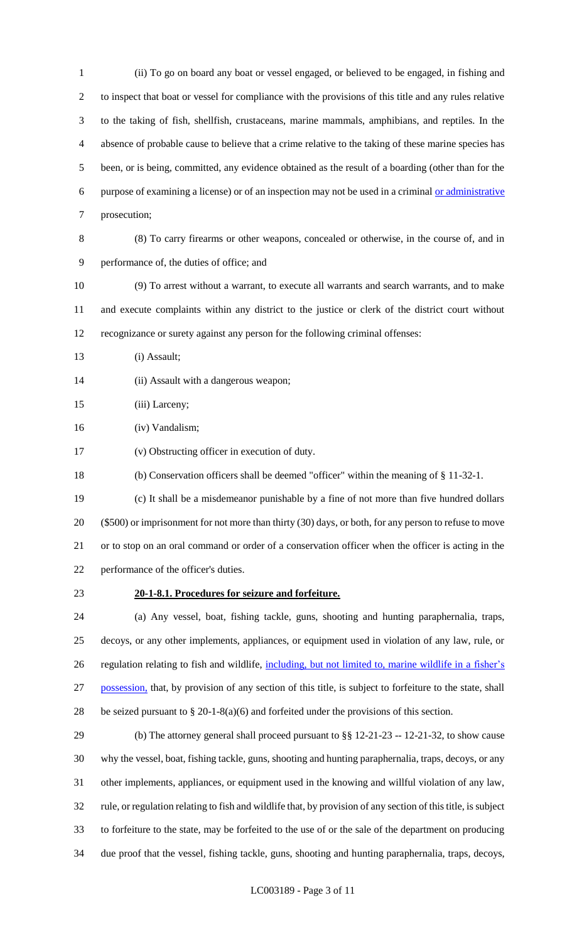(ii) To go on board any boat or vessel engaged, or believed to be engaged, in fishing and to inspect that boat or vessel for compliance with the provisions of this title and any rules relative to the taking of fish, shellfish, crustaceans, marine mammals, amphibians, and reptiles. In the absence of probable cause to believe that a crime relative to the taking of these marine species has been, or is being, committed, any evidence obtained as the result of a boarding (other than for the purpose of examining a license) or of an inspection may not be used in a criminal or administrative prosecution;

 (8) To carry firearms or other weapons, concealed or otherwise, in the course of, and in performance of, the duties of office; and

- (9) To arrest without a warrant, to execute all warrants and search warrants, and to make and execute complaints within any district to the justice or clerk of the district court without recognizance or surety against any person for the following criminal offenses:
- (i) Assault;
- 14 (ii) Assault with a dangerous weapon;
- 15 (iii) Larceny;
- (iv) Vandalism;
- (v) Obstructing officer in execution of duty.
- (b) Conservation officers shall be deemed "officer" within the meaning of § 11-32-1.
- (c) It shall be a misdemeanor punishable by a fine of not more than five hundred dollars (\$500) or imprisonment for not more than thirty (30) days, or both, for any person to refuse to move or to stop on an oral command or order of a conservation officer when the officer is acting in the performance of the officer's duties.
- 

## **20-1-8.1. Procedures for seizure and forfeiture.**

 (a) Any vessel, boat, fishing tackle, guns, shooting and hunting paraphernalia, traps, decoys, or any other implements, appliances, or equipment used in violation of any law, rule, or 26 regulation relating to fish and wildlife, including, but not limited to, marine wildlife in a fisher's 27 possession, that, by provision of any section of this title, is subject to forfeiture to the state, shall 28 be seized pursuant to  $\S 20-1-8(a)(6)$  and forfeited under the provisions of this section.

 (b) The attorney general shall proceed pursuant to §§ 12-21-23 -- 12-21-32, to show cause why the vessel, boat, fishing tackle, guns, shooting and hunting paraphernalia, traps, decoys, or any other implements, appliances, or equipment used in the knowing and willful violation of any law, rule, or regulation relating to fish and wildlife that, by provision of any section of this title, is subject to forfeiture to the state, may be forfeited to the use of or the sale of the department on producing due proof that the vessel, fishing tackle, guns, shooting and hunting paraphernalia, traps, decoys,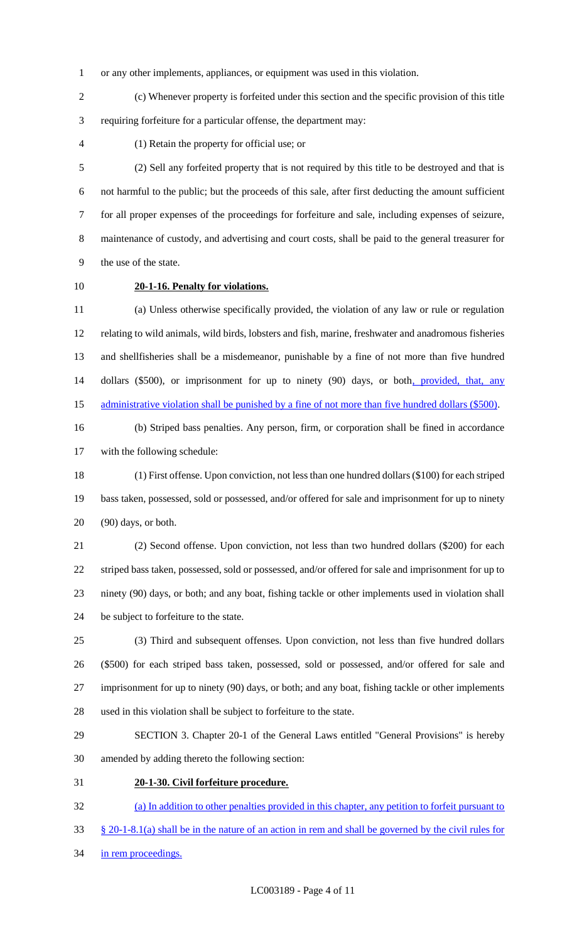or any other implements, appliances, or equipment was used in this violation.

 (c) Whenever property is forfeited under this section and the specific provision of this title requiring forfeiture for a particular offense, the department may:

(1) Retain the property for official use; or

 (2) Sell any forfeited property that is not required by this title to be destroyed and that is not harmful to the public; but the proceeds of this sale, after first deducting the amount sufficient for all proper expenses of the proceedings for forfeiture and sale, including expenses of seizure, maintenance of custody, and advertising and court costs, shall be paid to the general treasurer for the use of the state.

# **20-1-16. Penalty for violations.**

 (a) Unless otherwise specifically provided, the violation of any law or rule or regulation relating to wild animals, wild birds, lobsters and fish, marine, freshwater and anadromous fisheries and shellfisheries shall be a misdemeanor, punishable by a fine of not more than five hundred 14 dollars (\$500), or imprisonment for up to ninety (90) days, or both, provided, that, any 15 administrative violation shall be punished by a fine of not more than five hundred dollars (\$500).

 (b) Striped bass penalties. Any person, firm, or corporation shall be fined in accordance with the following schedule:

 (1) First offense. Upon conviction, not less than one hundred dollars (\$100) for each striped bass taken, possessed, sold or possessed, and/or offered for sale and imprisonment for up to ninety (90) days, or both.

 (2) Second offense. Upon conviction, not less than two hundred dollars (\$200) for each striped bass taken, possessed, sold or possessed, and/or offered for sale and imprisonment for up to ninety (90) days, or both; and any boat, fishing tackle or other implements used in violation shall be subject to forfeiture to the state.

 (3) Third and subsequent offenses. Upon conviction, not less than five hundred dollars (\$500) for each striped bass taken, possessed, sold or possessed, and/or offered for sale and imprisonment for up to ninety (90) days, or both; and any boat, fishing tackle or other implements used in this violation shall be subject to forfeiture to the state.

 SECTION 3. Chapter 20-1 of the General Laws entitled "General Provisions" is hereby amended by adding thereto the following section:

**20-1-30. Civil forfeiture procedure.** 

 (a) In addition to other penalties provided in this chapter, any petition to forfeit pursuant to § 20-1-8.1(a) shall be in the nature of an action in rem and shall be governed by the civil rules for

34 in rem proceedings.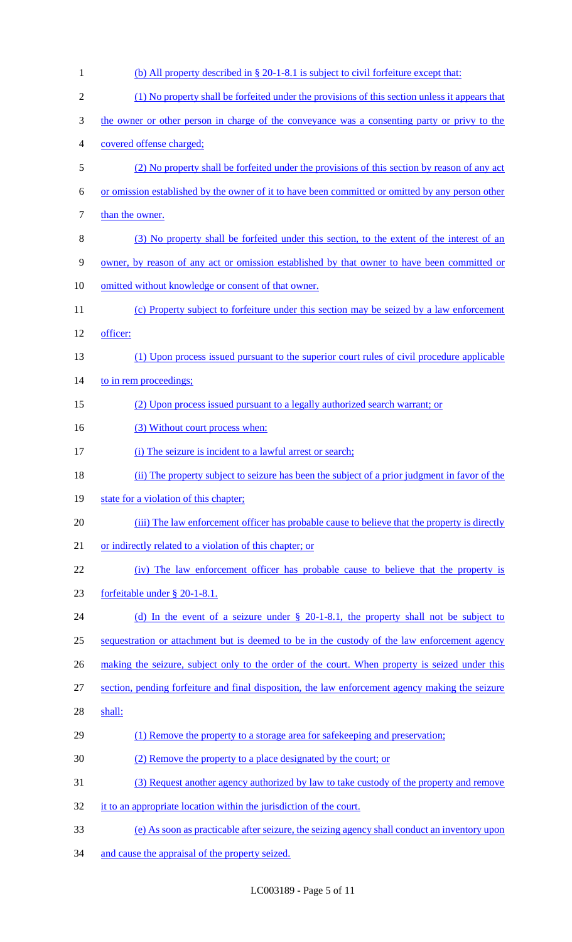| $\mathbf{1}$   | (b) All property described in § 20-1-8.1 is subject to civil forfeiture except that:             |
|----------------|--------------------------------------------------------------------------------------------------|
| $\overline{2}$ | (1) No property shall be forfeited under the provisions of this section unless it appears that   |
| 3              | the owner or other person in charge of the conveyance was a consenting party or privy to the     |
| 4              | covered offense charged;                                                                         |
| 5              | (2) No property shall be forfeited under the provisions of this section by reason of any act     |
| 6              | or omission established by the owner of it to have been committed or omitted by any person other |
| 7              | than the owner.                                                                                  |
| 8              | (3) No property shall be forfeited under this section, to the extent of the interest of an       |
| 9              | owner, by reason of any act or omission established by that owner to have been committed or      |
| 10             | omitted without knowledge or consent of that owner.                                              |
| 11             | (c) Property subject to forfeiture under this section may be seized by a law enforcement         |
| 12             | officer:                                                                                         |
| 13             | (1) Upon process issued pursuant to the superior court rules of civil procedure applicable       |
| 14             | to in rem proceedings;                                                                           |
| 15             | (2) Upon process issued pursuant to a legally authorized search warrant; or                      |
| 16             | (3) Without court process when:                                                                  |
| 17             | (i) The seizure is incident to a lawful arrest or search;                                        |
| 18             | (ii) The property subject to seizure has been the subject of a prior judgment in favor of the    |
| 19             | state for a violation of this chapter;                                                           |
| 20             | (iii) The law enforcement officer has probable cause to believe that the property is directly    |
| 21             | or indirectly related to a violation of this chapter; or                                         |
| 22             | (iv) The law enforcement officer has probable cause to believe that the property is              |
| 23             | forfeitable under § 20-1-8.1.                                                                    |
| 24             | (d) In the event of a seizure under $\S$ 20-1-8.1, the property shall not be subject to          |
| 25             | sequestration or attachment but is deemed to be in the custody of the law enforcement agency     |
| 26             | making the seizure, subject only to the order of the court. When property is seized under this   |
| 27             | section, pending forfeiture and final disposition, the law enforcement agency making the seizure |
| 28             | shall:                                                                                           |
| 29             | (1) Remove the property to a storage area for safekeeping and preservation;                      |
| 30             | (2) Remove the property to a place designated by the court; or                                   |
| 31             | (3) Request another agency authorized by law to take custody of the property and remove          |
| 32             | it to an appropriate location within the jurisdiction of the court.                              |
| 33             | (e) As soon as practicable after seizure, the seizing agency shall conduct an inventory upon     |

34 and cause the appraisal of the property seized.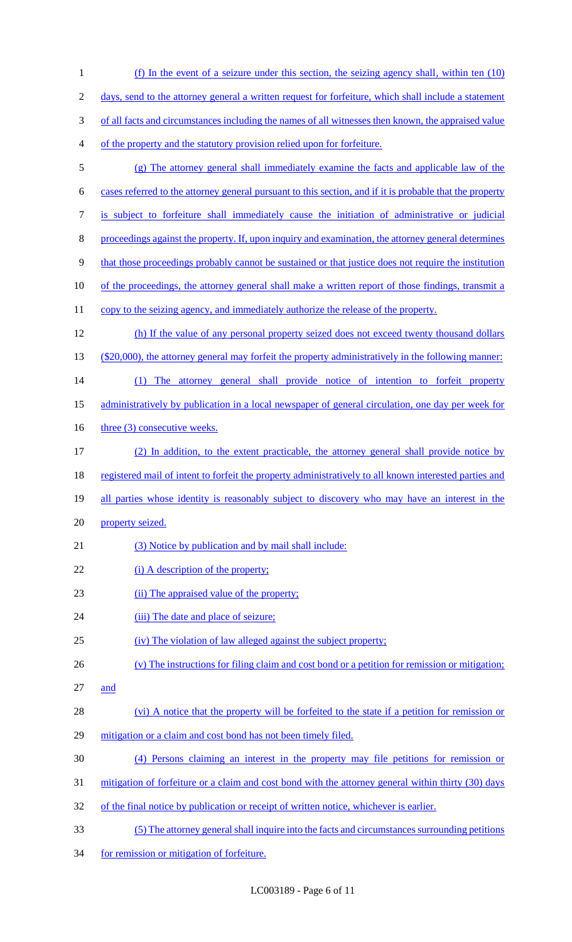(f) In the event of a seizure under this section, the seizing agency shall, within ten (10) days, send to the attorney general a written request for forfeiture, which shall include a statement of all facts and circumstances including the names of all witnesses then known, the appraised value of the property and the statutory provision relied upon for forfeiture. (g) The attorney general shall immediately examine the facts and applicable law of the cases referred to the attorney general pursuant to this section, and if it is probable that the property is subject to forfeiture shall immediately cause the initiation of administrative or judicial proceedings against the property. If, upon inquiry and examination, the attorney general determines that those proceedings probably cannot be sustained or that justice does not require the institution 10 of the proceedings, the attorney general shall make a written report of those findings, transmit a 11 copy to the seizing agency, and immediately authorize the release of the property. (h) If the value of any personal property seized does not exceed twenty thousand dollars 13 (\$20,000), the attorney general may forfeit the property administratively in the following manner: (1) The attorney general shall provide notice of intention to forfeit property administratively by publication in a local newspaper of general circulation, one day per week for 16 three (3) consecutive weeks. (2) In addition, to the extent practicable, the attorney general shall provide notice by 18 registered mail of intent to forfeit the property administratively to all known interested parties and 19 all parties whose identity is reasonably subject to discovery who may have an interest in the property seized. 21 (3) Notice by publication and by mail shall include: 22 (i) A description of the property; (ii) The appraised value of the property; 24 (iii) The date and place of seizure; (iv) The violation of law alleged against the subject property; (v) The instructions for filing claim and cost bond or a petition for remission or mitigation; and 28 (vi) A notice that the property will be forfeited to the state if a petition for remission or mitigation or a claim and cost bond has not been timely filed. (4) Persons claiming an interest in the property may file petitions for remission or 31 mitigation of forfeiture or a claim and cost bond with the attorney general within thirty (30) days 32 of the final notice by publication or receipt of written notice, whichever is earlier. (5) The attorney general shall inquire into the facts and circumstances surrounding petitions for remission or mitigation of forfeiture.

LC003189 - Page 6 of 11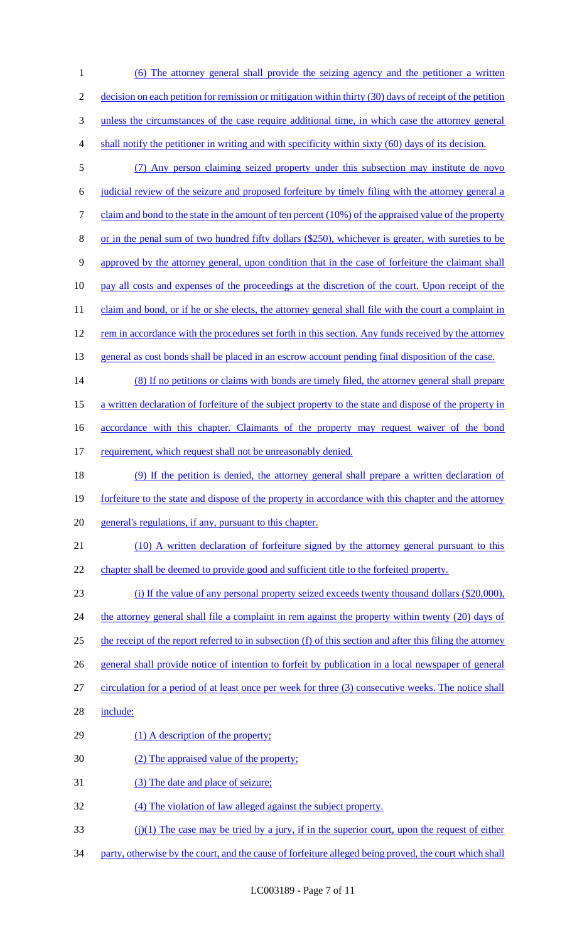(6) The attorney general shall provide the seizing agency and the petitioner a written 2 decision on each petition for remission or mitigation within thirty (30) days of receipt of the petition unless the circumstances of the case require additional time, in which case the attorney general shall notify the petitioner in writing and with specificity within sixty (60) days of its decision.

- 5 (7) Any person claiming seized property under this subsection may institute de novo 6 judicial review of the seizure and proposed forfeiture by timely filing with the attorney general a 7 claim and bond to the state in the amount of ten percent (10%) of the appraised value of the property 8 or in the penal sum of two hundred fifty dollars (\$250), whichever is greater, with sureties to be 9 approved by the attorney general, upon condition that in the case of forfeiture the claimant shall 10 pay all costs and expenses of the proceedings at the discretion of the court. Upon receipt of the 11 claim and bond, or if he or she elects, the attorney general shall file with the court a complaint in 12 rem in accordance with the procedures set forth in this section. Any funds received by the attorney
- 13 general as cost bonds shall be placed in an escrow account pending final disposition of the case.
- 14 (8) If no petitions or claims with bonds are timely filed, the attorney general shall prepare 15 a written declaration of forfeiture of the subject property to the state and dispose of the property in
- 16 accordance with this chapter. Claimants of the property may request waiver of the bond
- 17 requirement, which request shall not be unreasonably denied.

18 (9) If the petition is denied, the attorney general shall prepare a written declaration of 19 forfeiture to the state and dispose of the property in accordance with this chapter and the attorney 20 general's regulations, if any, pursuant to this chapter.

- 21 (10) A written declaration of forfeiture signed by the attorney general pursuant to this 22 chapter shall be deemed to provide good and sufficient title to the forfeited property.
- 23 (i) If the value of any personal property seized exceeds twenty thousand dollars (\$20,000),
- 24 the attorney general shall file a complaint in rem against the property within twenty (20) days of 25 the receipt of the report referred to in subsection (f) of this section and after this filing the attorney
- 26 general shall provide notice of intention to forfeit by publication in a local newspaper of general
- 27 circulation for a period of at least once per week for three (3) consecutive weeks. The notice shall
- 28 include:
- 29 (1) A description of the property;
- 30 (2) The appraised value of the property;
- 31 (3) The date and place of seizure;
- 32 (4) The violation of law alleged against the subject property.
- $(i)(1)$  The case may be tried by a jury, if in the superior court, upon the request of either
- 34 party, otherwise by the court, and the cause of forfeiture alleged being proved, the court which shall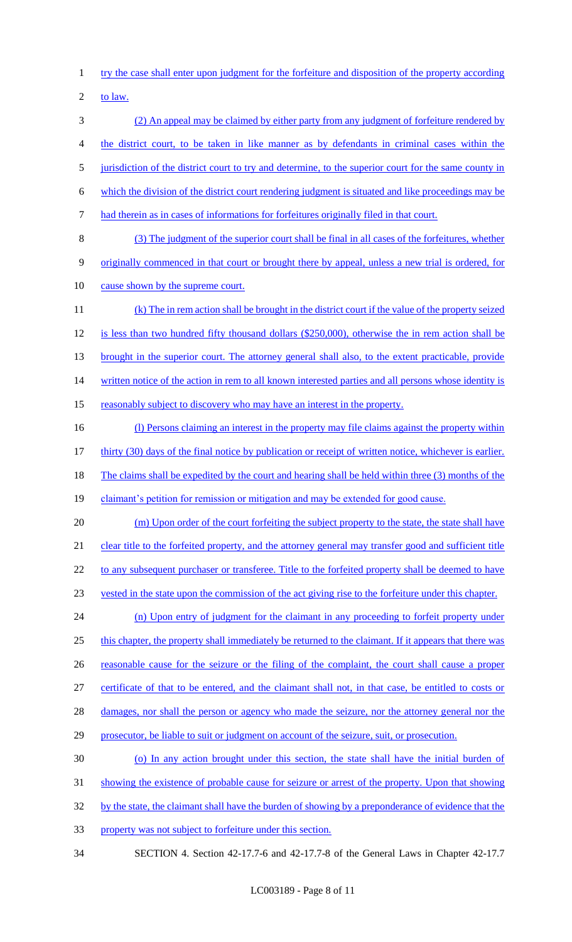1 try the case shall enter upon judgment for the forfeiture and disposition of the property according

2 to law.

 (2) An appeal may be claimed by either party from any judgment of forfeiture rendered by the district court, to be taken in like manner as by defendants in criminal cases within the 5 jurisdiction of the district court to try and determine, to the superior court for the same county in which the division of the district court rendering judgment is situated and like proceedings may be had therein as in cases of informations for forfeitures originally filed in that court. (3) The judgment of the superior court shall be final in all cases of the forfeitures, whether 9 originally commenced in that court or brought there by appeal, unless a new trial is ordered, for

10 cause shown by the supreme court.

11 (k) The in rem action shall be brought in the district court if the value of the property seized 12 is less than two hundred fifty thousand dollars (\$250,000), otherwise the in rem action shall be 13 brought in the superior court. The attorney general shall also, to the extent practicable, provide 14 written notice of the action in rem to all known interested parties and all persons whose identity is 15 reasonably subject to discovery who may have an interest in the property.

16 (1) Persons claiming an interest in the property may file claims against the property within 17 thirty (30) days of the final notice by publication or receipt of written notice, whichever is earlier. 18 The claims shall be expedited by the court and hearing shall be held within three (3) months of the 19 claimant's petition for remission or mitigation and may be extended for good cause.

- 20 (m) Upon order of the court forfeiting the subject property to the state, the state shall have 21 clear title to the forfeited property, and the attorney general may transfer good and sufficient title 22 to any subsequent purchaser or transferee. Title to the forfeited property shall be deemed to have
- 23 vested in the state upon the commission of the act giving rise to the forfeiture under this chapter.

24 (n) Upon entry of judgment for the claimant in any proceeding to forfeit property under this chapter, the property shall immediately be returned to the claimant. If it appears that there was reasonable cause for the seizure or the filing of the complaint, the court shall cause a proper certificate of that to be entered, and the claimant shall not, in that case, be entitled to costs or

28 damages, nor shall the person or agency who made the seizure, nor the attorney general nor the

- 29 prosecutor, be liable to suit or judgment on account of the seizure, suit, or prosecution.
- 30 (o) In any action brought under this section, the state shall have the initial burden of

31 showing the existence of probable cause for seizure or arrest of the property. Upon that showing

32 by the state, the claimant shall have the burden of showing by a preponderance of evidence that the

- 33 property was not subject to forfeiture under this section.
- 34 SECTION 4. Section 42-17.7-6 and 42-17.7-8 of the General Laws in Chapter 42-17.7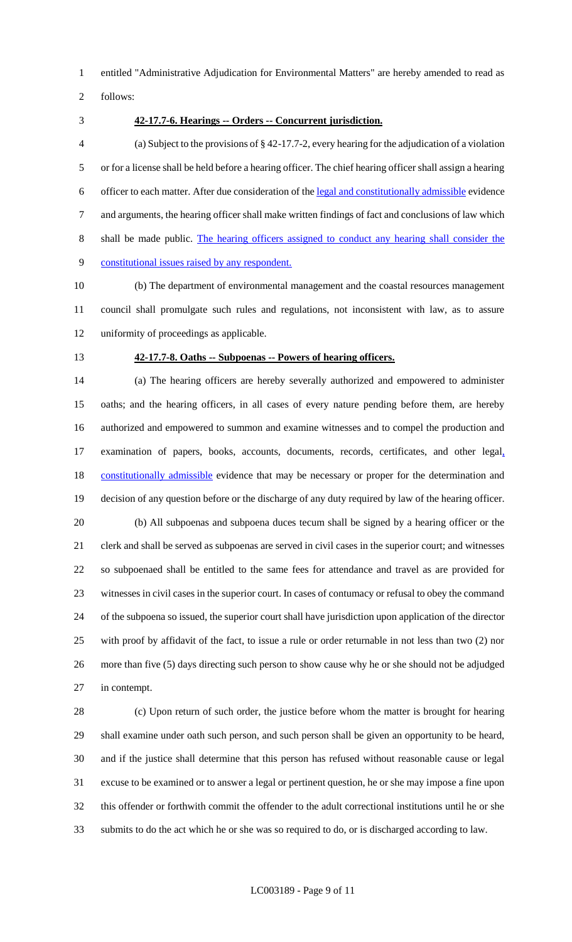entitled "Administrative Adjudication for Environmental Matters" are hereby amended to read as

follows:

### **42-17.7-6. Hearings -- Orders -- Concurrent jurisdiction.**

 (a) Subject to the provisions of § 42-17.7-2, every hearing for the adjudication of a violation or for a license shall be held before a hearing officer. The chief hearing officer shall assign a hearing officer to each matter. After due consideration of the legal and constitutionally admissible evidence and arguments, the hearing officer shall make written findings of fact and conclusions of law which shall be made public. The hearing officers assigned to conduct any hearing shall consider the constitutional issues raised by any respondent.

 (b) The department of environmental management and the coastal resources management council shall promulgate such rules and regulations, not inconsistent with law, as to assure uniformity of proceedings as applicable.

### **42-17.7-8. Oaths -- Subpoenas -- Powers of hearing officers.**

 (a) The hearing officers are hereby severally authorized and empowered to administer oaths; and the hearing officers, in all cases of every nature pending before them, are hereby authorized and empowered to summon and examine witnesses and to compel the production and 17 examination of papers, books, accounts, documents, records, certificates, and other legal, 18 constitutionally admissible evidence that may be necessary or proper for the determination and decision of any question before or the discharge of any duty required by law of the hearing officer. (b) All subpoenas and subpoena duces tecum shall be signed by a hearing officer or the clerk and shall be served as subpoenas are served in civil cases in the superior court; and witnesses so subpoenaed shall be entitled to the same fees for attendance and travel as are provided for witnesses in civil cases in the superior court. In cases of contumacy or refusal to obey the command of the subpoena so issued, the superior court shall have jurisdiction upon application of the director with proof by affidavit of the fact, to issue a rule or order returnable in not less than two (2) nor more than five (5) days directing such person to show cause why he or she should not be adjudged in contempt.

 (c) Upon return of such order, the justice before whom the matter is brought for hearing shall examine under oath such person, and such person shall be given an opportunity to be heard, and if the justice shall determine that this person has refused without reasonable cause or legal excuse to be examined or to answer a legal or pertinent question, he or she may impose a fine upon this offender or forthwith commit the offender to the adult correctional institutions until he or she submits to do the act which he or she was so required to do, or is discharged according to law.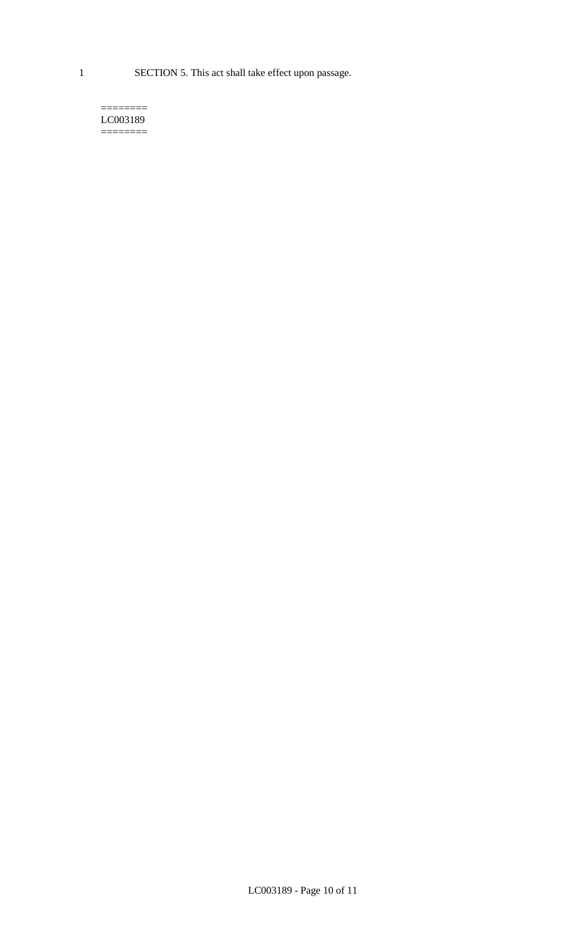1 SECTION 5. This act shall take effect upon passage.

#### $=$ LC003189  $=$